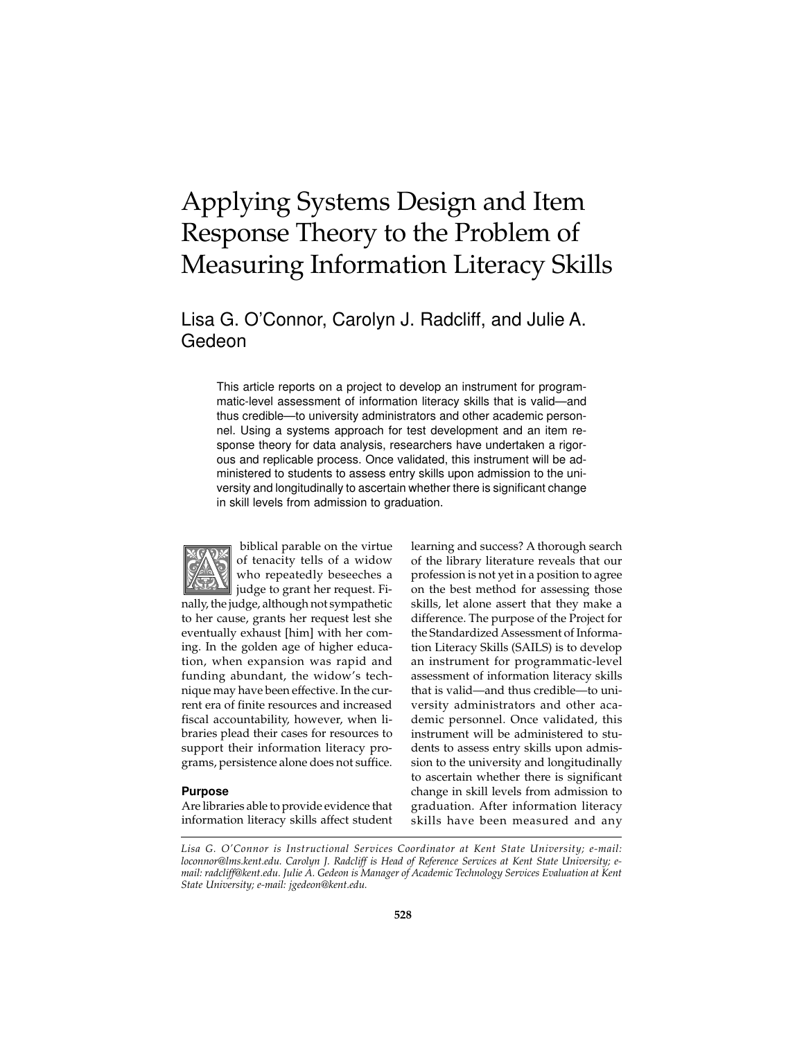# Applying Systems Design and Item Response Theory to the Problem of Measuring Information Literacy Skills

# Lisa G. O'Connor, Carolyn J. Radcliff, and Julie A. Gedeon

This article reports on a project to develop an instrument for programmatic-level assessment of information literacy skills that is valid—and thus credible—to university administrators and other academic personnel. Using a systems approach for test development and an item response theory for data analysis, researchers have undertaken a rigorous and replicable process. Once validated, this instrument will be administered to students to assess entry skills upon admission to the university and longitudinally to ascertain whether there is significant change in skill levels from admission to graduation.



 biblical parable on the virtue of tenacity tells of a widow who repeatedly beseeches a judge to grant her request. Fi-

nally, the judge, although not sympathetic to her cause, grants her request lest she eventually exhaust [him] with her coming. In the golden age of higher education, when expansion was rapid and funding abundant, the widow's technique may have been effective. In the current era of finite resources and increased fiscal accountability, however, when libraries plead their cases for resources to support their information literacy programs, persistence alone does not suffice.

# **Purpose**

Are libraries able to provide evidence that information literacy skills affect student

learning and success? A thorough search of the library literature reveals that our profession is not yet in a position to agree on the best method for assessing those skills, let alone assert that they make a difference. The purpose of the Project for the Standardized Assessment of Information Literacy Skills (SAILS) is to develop an instrument for programmatic-level assessment of information literacy skills that is valid—and thus credible—to university administrators and other academic personnel. Once validated, this instrument will be administered to students to assess entry skills upon admission to the university and longitudinally to ascertain whether there is significant change in skill levels from admission to graduation. After information literacy skills have been measured and any

*Lisa G. O'Connor is Instructional Services Coordinator at Kent State University; e-mail: loconnor@lms.kent.edu. Carolyn J. Radcliff is Head of Reference Services at Kent State University; email: radcliff@kent.edu. Julie A. Gedeon is Manager of Academic Technology Services Evaluation at Kent State University; e-mail: jgedeon@kent.edu.*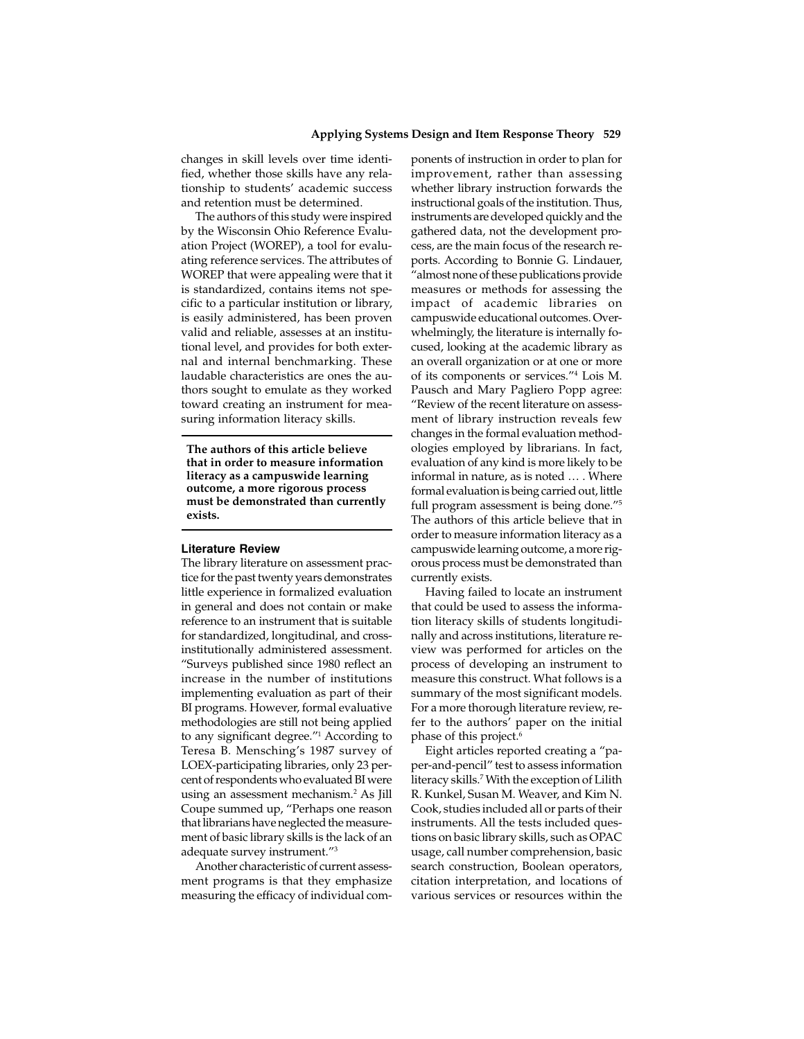changes in skill levels over time identified, whether those skills have any relationship to students' academic success and retention must be determined.

The authors of this study were inspired by the Wisconsin Ohio Reference Evaluation Project (WOREP), a tool for evaluating reference services. The attributes of WOREP that were appealing were that it is standardized, contains items not specific to a particular institution or library, is easily administered, has been proven valid and reliable, assesses at an institutional level, and provides for both external and internal benchmarking. These laudable characteristics are ones the authors sought to emulate as they worked toward creating an instrument for measuring information literacy skills.

**The authors of this article believe that in order to measure information literacy as a campuswide learning outcome, a more rigorous process must be demonstrated than currently exists.**

#### **Literature Review**

The library literature on assessment practice for the past twenty years demonstrates little experience in formalized evaluation in general and does not contain or make reference to an instrument that is suitable for standardized, longitudinal, and crossinstitutionally administered assessment. "Surveys published since 1980 reflect an increase in the number of institutions implementing evaluation as part of their BI programs. However, formal evaluative methodologies are still not being applied to any significant degree."<sup>1</sup> According to Teresa B. Mensching's 1987 survey of LOEX-participating libraries, only 23 percent of respondents who evaluated BI were using an assessment mechanism.<sup>2</sup> As Jill Coupe summed up, "Perhaps one reason that librarians have neglected the measurement of basic library skills is the lack of an adequate survey instrument."<sup>3</sup>

Another characteristic of current assessment programs is that they emphasize measuring the efficacy of individual components of instruction in order to plan for improvement, rather than assessing whether library instruction forwards the instructional goals of the institution. Thus, instruments are developed quickly and the gathered data, not the development process, are the main focus of the research reports. According to Bonnie G. Lindauer, "almost none of these publications provide measures or methods for assessing the impact of academic libraries on campuswide educational outcomes. Overwhelmingly, the literature is internally focused, looking at the academic library as an overall organization or at one or more of its components or services."<sup>4</sup> Lois M. Pausch and Mary Pagliero Popp agree: "Review of the recent literature on assessment of library instruction reveals few changes in the formal evaluation methodologies employed by librarians. In fact, evaluation of any kind is more likely to be informal in nature, as is noted … . Where formal evaluation is being carried out, little full program assessment is being done."<sup>5</sup> The authors of this article believe that in order to measure information literacy as a campuswide learning outcome, a more rigorous process must be demonstrated than currently exists.

Having failed to locate an instrument that could be used to assess the information literacy skills of students longitudinally and across institutions, literature review was performed for articles on the process of developing an instrument to measure this construct. What follows is a summary of the most significant models. For a more thorough literature review, refer to the authors' paper on the initial phase of this project.<sup>6</sup>

Eight articles reported creating a "paper-and-pencil" test to assess information literacy skills.<sup>7</sup> With the exception of Lilith R. Kunkel, Susan M. Weaver, and Kim N. Cook, studies included all or parts of their instruments. All the tests included questions on basic library skills, such as OPAC usage, call number comprehension, basic search construction, Boolean operators, citation interpretation, and locations of various services or resources within the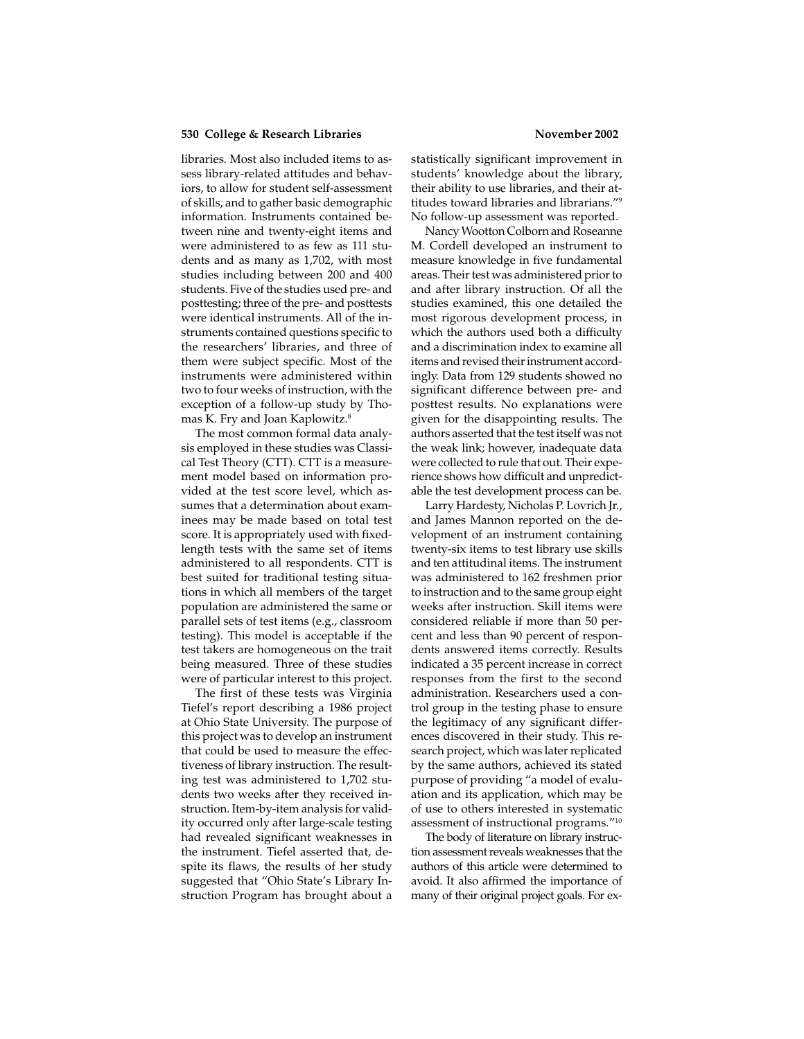#### **530 College & Research Libraries November 2002**

libraries. Most also included items to assess library-related attitudes and behaviors, to allow for student self-assessment of skills, and to gather basic demographic information. Instruments contained between nine and twenty-eight items and were administered to as few as 111 students and as many as 1,702, with most studies including between 200 and 400 students. Five of the studies used pre- and posttesting; three of the pre- and posttests were identical instruments. All of the instruments contained questions specific to the researchers' libraries, and three of them were subject specific. Most of the instruments were administered within two to four weeks of instruction, with the exception of a follow-up study by Thomas K. Fry and Joan Kaplowitz.<sup>8</sup>

The most common formal data analysis employed in these studies was Classical Test Theory (CTT). CTT is a measurement model based on information provided at the test score level, which assumes that a determination about examinees may be made based on total test score. It is appropriately used with fixedlength tests with the same set of items administered to all respondents. CTT is best suited for traditional testing situations in which all members of the target population are administered the same or parallel sets of test items (e.g., classroom testing). This model is acceptable if the test takers are homogeneous on the trait being measured. Three of these studies were of particular interest to this project.

The first of these tests was Virginia Tiefel's report describing a 1986 project at Ohio State University. The purpose of this project was to develop an instrument that could be used to measure the effectiveness of library instruction. The resulting test was administered to 1,702 students two weeks after they received instruction. Item-by-item analysis for validity occurred only after large-scale testing had revealed significant weaknesses in the instrument. Tiefel asserted that, despite its flaws, the results of her study suggested that "Ohio State's Library Instruction Program has brought about a

statistically significant improvement in students' knowledge about the library, their ability to use libraries, and their attitudes toward libraries and librarians."<sup>9</sup> No follow-up assessment was reported.

Nancy Wootton Colborn and Roseanne M. Cordell developed an instrument to measure knowledge in five fundamental areas. Their test was administered prior to and after library instruction. Of all the studies examined, this one detailed the most rigorous development process, in which the authors used both a difficulty and a discrimination index to examine all items and revised their instrument accordingly. Data from 129 students showed no significant difference between pre- and posttest results. No explanations were given for the disappointing results. The authors asserted that the test itself was not the weak link; however, inadequate data were collected to rule that out. Their experience shows how difficult and unpredictable the test development process can be.

Larry Hardesty, Nicholas P. Lovrich Jr., and James Mannon reported on the development of an instrument containing twenty-six items to test library use skills and ten attitudinal items. The instrument was administered to 162 freshmen prior to instruction and to the same group eight weeks after instruction. Skill items were considered reliable if more than 50 percent and less than 90 percent of respondents answered items correctly. Results indicated a 35 percent increase in correct responses from the first to the second administration. Researchers used a control group in the testing phase to ensure the legitimacy of any significant differences discovered in their study. This research project, which was later replicated by the same authors, achieved its stated purpose of providing "a model of evaluation and its application, which may be of use to others interested in systematic assessment of instructional programs."<sup>10</sup>

The body of literature on library instruction assessment reveals weaknesses that the authors of this article were determined to avoid. It also affirmed the importance of many of their original project goals. For ex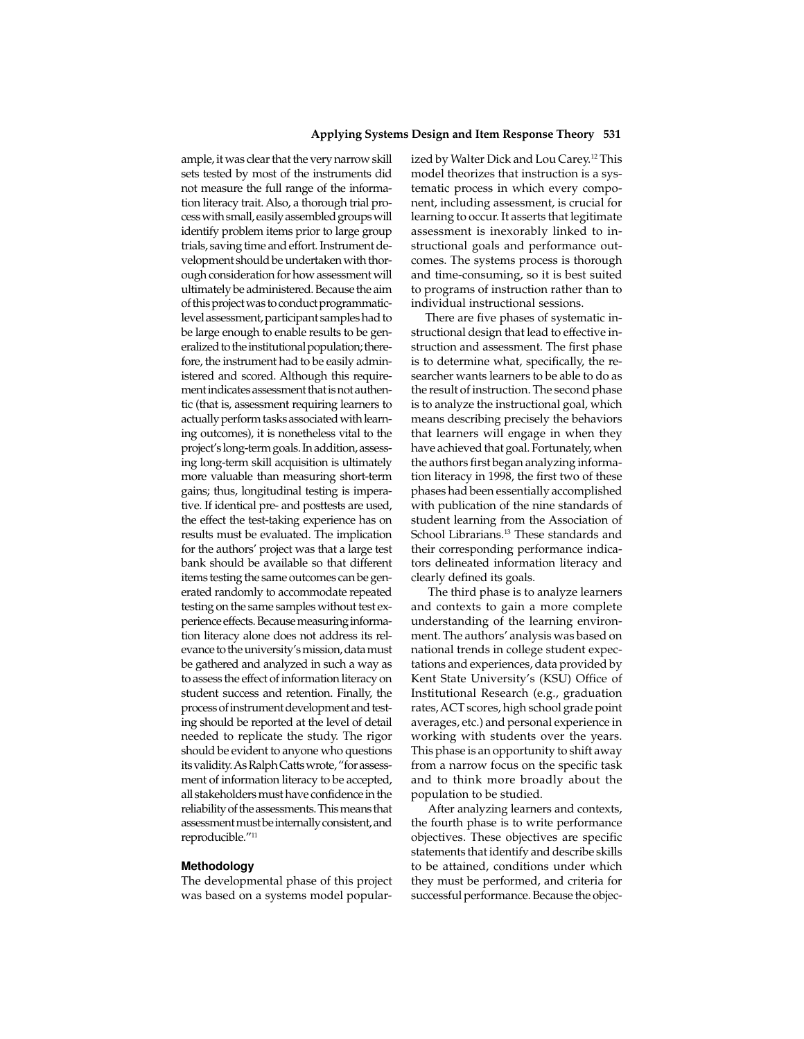ample, it was clear that the very narrow skill sets tested by most of the instruments did not measure the full range of the information literacy trait. Also, a thorough trial process with small, easily assembled groups will identify problem items prior to large group trials, saving time and effort. Instrument development should be undertaken with thorough consideration for how assessment will ultimately be administered. Because the aim of this project was to conduct programmaticlevel assessment, participant samples had to be large enough to enable results to be generalized to the institutional population; therefore, the instrument had to be easily administered and scored. Although this requirement indicates assessment that is not authentic (that is, assessment requiring learners to actually perform tasks associated with learning outcomes), it is nonetheless vital to the project's long-term goals. In addition, assessing long-term skill acquisition is ultimately more valuable than measuring short-term gains; thus, longitudinal testing is imperative. If identical pre- and posttests are used, the effect the test-taking experience has on results must be evaluated. The implication for the authors' project was that a large test bank should be available so that different items testing the same outcomes can be generated randomly to accommodate repeated testing on the same samples without test experience effects. Because measuring information literacy alone does not address its relevance to the university's mission, data must be gathered and analyzed in such a way as to assess the effect of information literacy on student success and retention. Finally, the process of instrument development and testing should be reported at the level of detail needed to replicate the study. The rigor should be evident to anyone who questions its validity. As Ralph Catts wrote, "for assessment of information literacy to be accepted, all stakeholders must have confidence in the reliability of the assessments. This means that assessment must be internally consistent, and reproducible."<sup>11</sup>

### **Methodology**

The developmental phase of this project was based on a systems model popular-

ized by Walter Dick and Lou Carey. <sup>12</sup> This model theorizes that instruction is a systematic process in which every component, including assessment, is crucial for learning to occur. It asserts that legitimate assessment is inexorably linked to instructional goals and performance outcomes. The systems process is thorough and time-consuming, so it is best suited to programs of instruction rather than to individual instructional sessions.

There are five phases of systematic instructional design that lead to effective instruction and assessment. The first phase is to determine what, specifically, the researcher wants learners to be able to do as the result of instruction. The second phase is to analyze the instructional goal, which means describing precisely the behaviors that learners will engage in when they have achieved that goal. Fortunately, when the authors first began analyzing information literacy in 1998, the first two of these phases had been essentially accomplished with publication of the nine standards of student learning from the Association of School Librarians.<sup>13</sup> These standards and their corresponding performance indicators delineated information literacy and clearly defined its goals.

The third phase is to analyze learners and contexts to gain a more complete understanding of the learning environment. The authors' analysis was based on national trends in college student expectations and experiences, data provided by Kent State University's (KSU) Office of Institutional Research (e.g., graduation rates, ACT scores, high school grade point averages, etc.) and personal experience in working with students over the years. This phase is an opportunity to shift away from a narrow focus on the specific task and to think more broadly about the population to be studied.

After analyzing learners and contexts, the fourth phase is to write performance objectives. These objectives are specific statements that identify and describe skills to be attained, conditions under which they must be performed, and criteria for successful performance. Because the objec-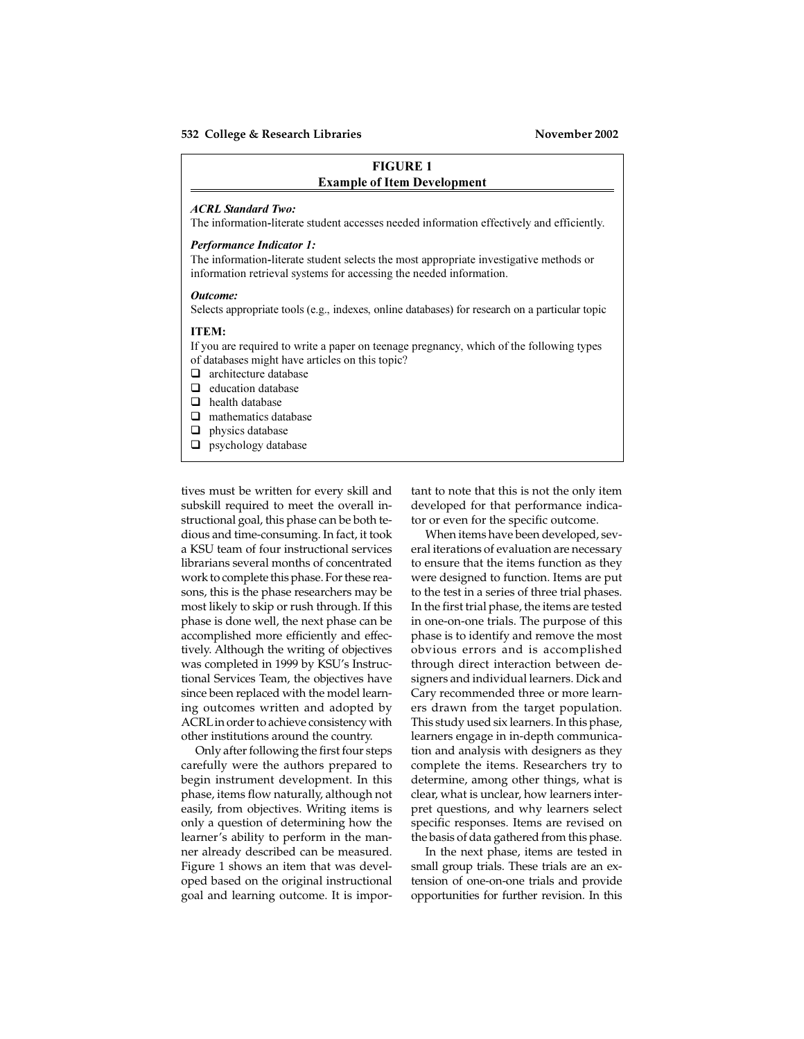# **FIGURE 1 Example of Item Development**

### *ACRL Standard Two:*

The information-literate student accesses needed information effectively and efficiently.

#### *Performance Indicator 1:*

The information-literate student selects the most appropriate investigative methods or information retrieval systems for accessing the needed information.

#### *Outcome:*

Selects appropriate tools (e.g., indexes, online databases) for research on a particular topic

#### **ITEM:**

If you are required to write a paper on teenage pregnancy, which of the following types of databases might have articles on this topic?

- $\Box$  architecture database
- $\Box$  education database
- $\Box$  health database
- $\Box$  mathematics database
- $\Box$  physics database
- $\Box$  psychology database

tives must be written for every skill and subskill required to meet the overall instructional goal, this phase can be both tedious and time-consuming. In fact, it took a KSU team of four instructional services librarians several months of concentrated work to complete this phase. For these reasons, this is the phase researchers may be most likely to skip or rush through. If this phase is done well, the next phase can be accomplished more efficiently and effectively. Although the writing of objectives was completed in 1999 by KSU's Instructional Services Team, the objectives have since been replaced with the model learning outcomes written and adopted by ACRL in order to achieve consistency with other institutions around the country.

Only after following the first four steps carefully were the authors prepared to begin instrument development. In this phase, items flow naturally, although not easily, from objectives. Writing items is only a question of determining how the learner's ability to perform in the manner already described can be measured. Figure 1 shows an item that was developed based on the original instructional goal and learning outcome. It is important to note that this is not the only item developed for that performance indicator or even for the specific outcome.

When items have been developed, several iterations of evaluation are necessary to ensure that the items function as they were designed to function. Items are put to the test in a series of three trial phases. In the first trial phase, the items are tested in one-on-one trials. The purpose of this phase is to identify and remove the most obvious errors and is accomplished through direct interaction between designers and individual learners. Dick and Cary recommended three or more learners drawn from the target population. This study used six learners. In this phase, learners engage in in-depth communication and analysis with designers as they complete the items. Researchers try to determine, among other things, what is clear, what is unclear, how learners interpret questions, and why learners select specific responses. Items are revised on the basis of data gathered from this phase.

In the next phase, items are tested in small group trials. These trials are an extension of one-on-one trials and provide opportunities for further revision. In this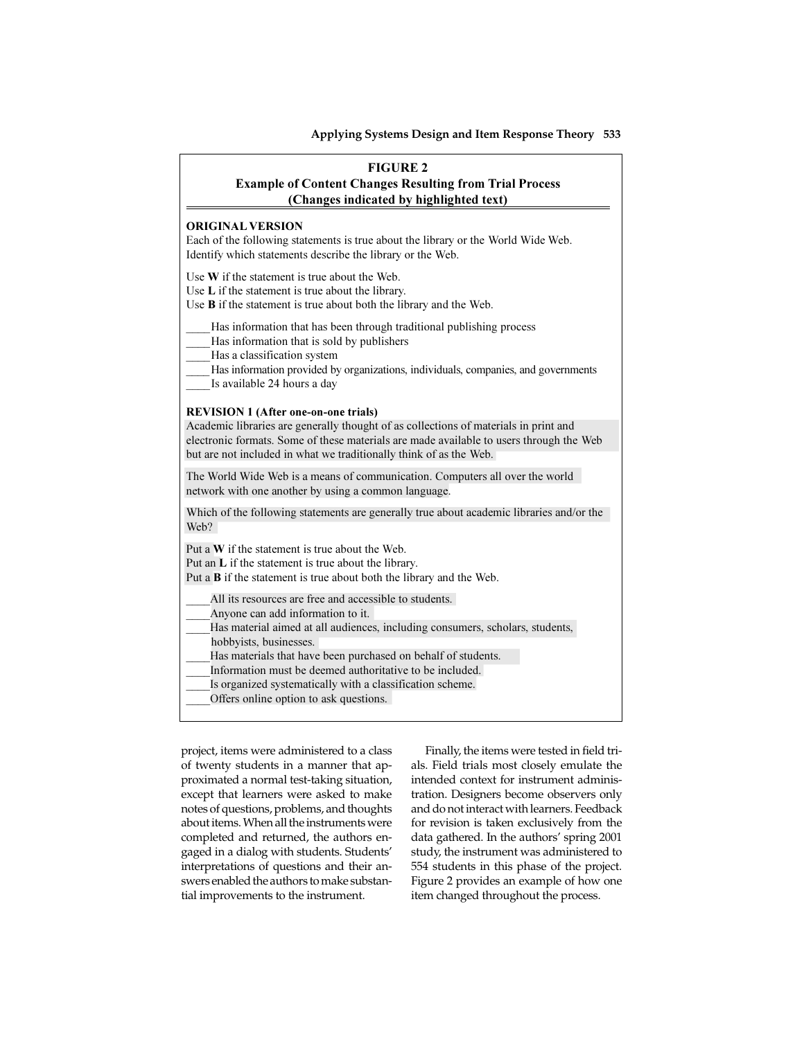# **FIGURE 2 Example of Content Changes Resulting from Trial Process (Changes indicated by highlighted text)**

# **ORIGINAL VERSION**

Each of the following statements is true about the library or the World Wide Web. Identify which statements describe the library or the Web.

Use **W** if the statement is true about the Web.

Use **L** if the statement is true about the library.

Use **B** if the statement is true about both the library and the Web.

\_\_\_\_Has information that has been through traditional publishing process

Has information that is sold by publishers

Has a classification system

Has information provided by organizations, individuals, companies, and governments

Is available 24 hours a day

# **REVISION 1 (After one-on-one trials)**

Academic libraries are generally thought of as collections of materials in print and electronic formats. Some of these materials are made available to users through the Web but are not included in what we traditionally think of as the Web.

The World Wide Web is a means of communication. Computers all over the world network with one another by using a common language.

Which of the following statements are generally true about academic libraries and/or the Web?

Put a **W** if the statement is true about the Web.

Put an **L** if the statement is true about the library.

Put a **B** if the statement is true about both the library and the Web.

All its resources are free and accessible to students.

Anyone can add information to it.

Has material aimed at all audiences, including consumers, scholars, students, hobbyists, businesses.

Has materials that have been purchased on behalf of students.

Information must be deemed authoritative to be included.

Is organized systematically with a classification scheme.

Offers online option to ask questions.

project, items were administered to a class of twenty students in a manner that approximated a normal test-taking situation, except that learners were asked to make notes of questions, problems, and thoughts about items. When all the instruments were completed and returned, the authors engaged in a dialog with students. Students' interpretations of questions and their answers enabled the authors to make substantial improvements to the instrument.

Finally, the items were tested in field trials. Field trials most closely emulate the intended context for instrument administration. Designers become observers only and do not interact with learners. Feedback for revision is taken exclusively from the data gathered. In the authors' spring 2001 study, the instrument was administered to 554 students in this phase of the project. Figure 2 provides an example of how one item changed throughout the process.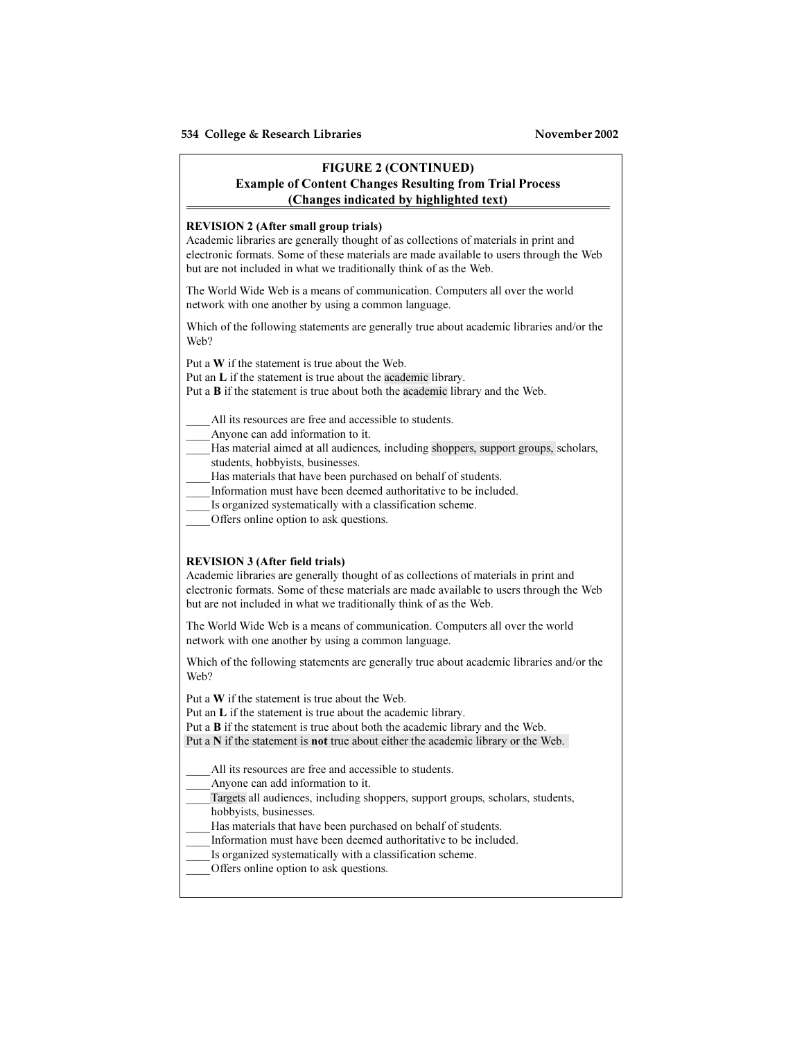# **FIGURE 2 (CONTINUED) Example of Content Changes Resulting from Trial Process (Changes indicated by highlighted text)**

# **REVISION 2 (After small group trials)**

Academic libraries are generally thought of as collections of materials in print and electronic formats. Some of these materials are made available to users through the Web but are not included in what we traditionally think of as the Web.

The World Wide Web is a means of communication. Computers all over the world network with one another by using a common language.

Which of the following statements are generally true about academic libraries and/or the Web?

Put a **W** if the statement is true about the Web.

Put an **L** if the statement is true about the academic library.

Put a **B** if the statement is true about both the academic library and the Web.

All its resources are free and accessible to students.

Anyone can add information to it.

- Has material aimed at all audiences, including shoppers, support groups, scholars, students, hobbyists, businesses.
- Has materials that have been purchased on behalf of students.
- \_\_\_\_Information must have been deemed authoritative to be included.

Is organized systematically with a classification scheme.

Offers online option to ask questions.

### **REVISION 3 (After field trials)**

Academic libraries are generally thought of as collections of materials in print and electronic formats. Some of these materials are made available to users through the Web but are not included in what we traditionally think of as the Web.

The World Wide Web is a means of communication. Computers all over the world network with one another by using a common language.

Which of the following statements are generally true about academic libraries and/or the Web?

Put a **W** if the statement is true about the Web.

Put an **L** if the statement is true about the academic library.

Put a **B** if the statement is true about both the academic library and the Web.

Put a **N** if the statement is **not** true about either the academic library or the Web.

All its resources are free and accessible to students.

Anyone can add information to it.

Targets all audiences, including shoppers, support groups, scholars, students, hobbyists, businesses.

Has materials that have been purchased on behalf of students.

\_\_\_\_Information must have been deemed authoritative to be included.

Is organized systematically with a classification scheme.

Offers online option to ask questions.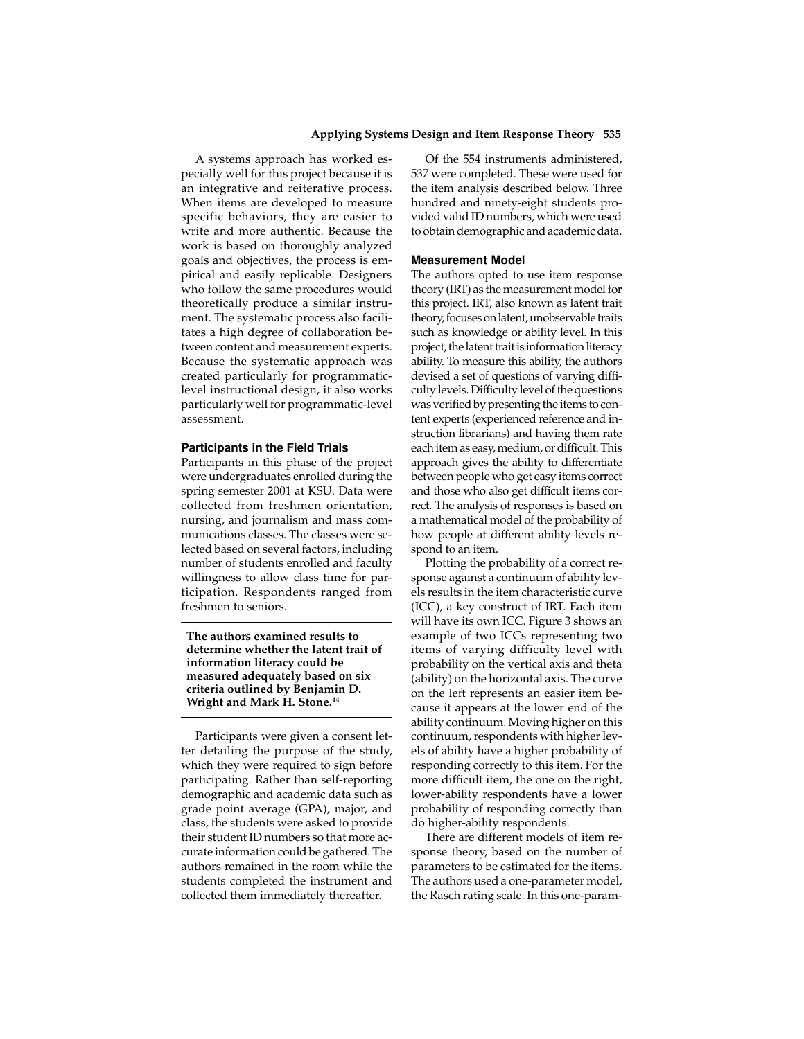A systems approach has worked especially well for this project because it is an integrative and reiterative process. When items are developed to measure specific behaviors, they are easier to write and more authentic. Because the work is based on thoroughly analyzed goals and objectives, the process is empirical and easily replicable. Designers who follow the same procedures would theoretically produce a similar instrument. The systematic process also facilitates a high degree of collaboration between content and measurement experts. Because the systematic approach was created particularly for programmaticlevel instructional design, it also works particularly well for programmatic-level assessment.

### **Participants in the Field Trials**

Participants in this phase of the project were undergraduates enrolled during the spring semester 2001 at KSU. Data were collected from freshmen orientation, nursing, and journalism and mass communications classes. The classes were selected based on several factors, including number of students enrolled and faculty willingness to allow class time for participation. Respondents ranged from freshmen to seniors.

**The authors examined results to determine whether the latent trait of information literacy could be measured adequately based on six criteria outlined by Benjamin D. Wright and Mark H. Stone.14**

Participants were given a consent letter detailing the purpose of the study, which they were required to sign before participating. Rather than self-reporting demographic and academic data such as grade point average (GPA), major, and class, the students were asked to provide their student ID numbers so that more accurate information could be gathered. The authors remained in the room while the students completed the instrument and collected them immediately thereafter.

Of the 554 instruments administered, 537 were completed. These were used for the item analysis described below. Three hundred and ninety-eight students provided valid ID numbers, which were used to obtain demographic and academic data.

#### **Measurement Model**

The authors opted to use item response theory (IRT) as the measurement model for this project. IRT, also known as latent trait theory, focuses on latent, unobservable traits such as knowledge or ability level. In this project, the latent trait is information literacy ability. To measure this ability, the authors devised a set of questions of varying difficulty levels. Difficulty level of the questions was verified by presenting the items to content experts (experienced reference and instruction librarians) and having them rate each item as easy, medium, or difficult. This approach gives the ability to differentiate between people who get easy items correct and those who also get difficult items correct. The analysis of responses is based on a mathematical model of the probability of how people at different ability levels respond to an item.

Plotting the probability of a correct response against a continuum of ability levels results in the item characteristic curve (ICC), a key construct of IRT. Each item will have its own ICC. Figure 3 shows an example of two ICCs representing two items of varying difficulty level with probability on the vertical axis and theta (ability) on the horizontal axis. The curve on the left represents an easier item because it appears at the lower end of the ability continuum. Moving higher on this continuum, respondents with higher levels of ability have a higher probability of responding correctly to this item. For the more difficult item, the one on the right, lower-ability respondents have a lower probability of responding correctly than do higher-ability respondents.

There are different models of item response theory, based on the number of parameters to be estimated for the items. The authors used a one-parameter model, the Rasch rating scale. In this one-param-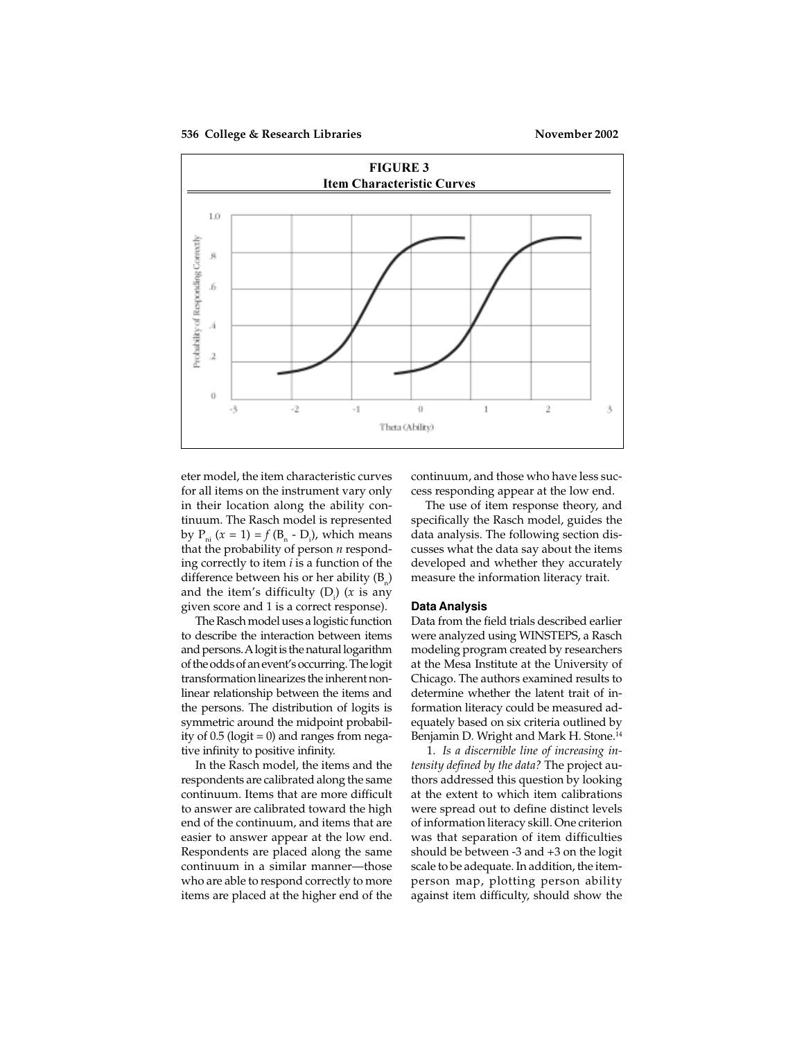

eter model, the item characteristic curves for all items on the instrument vary only in their location along the ability continuum. The Rasch model is represented by  $P_{ni} (x = 1) = f (B_n - D_i)$ , which means that the probability of person *n* responding correctly to item *i* is a function of the difference between his or her ability  $(B_n)$ and the item's difficulty  $(D_i)$   $(x$  is any given score and 1 is a correct response).

The Rasch model uses a logistic function to describe the interaction between items and persons. A logit is the natural logarithm of the odds of an event's occurring. The logit transformation linearizes the inherent nonlinear relationship between the items and the persons. The distribution of logits is symmetric around the midpoint probability of  $0.5$  (logit = 0) and ranges from negative infinity to positive infinity.

In the Rasch model, the items and the respondents are calibrated along the same continuum. Items that are more difficult to answer are calibrated toward the high end of the continuum, and items that are easier to answer appear at the low end. Respondents are placed along the same continuum in a similar manner—those who are able to respond correctly to more items are placed at the higher end of the continuum, and those who have less success responding appear at the low end.

The use of item response theory, and specifically the Rasch model, guides the data analysis. The following section discusses what the data say about the items developed and whether they accurately measure the information literacy trait.

#### **Data Analysis**

Data from the field trials described earlier were analyzed using WINSTEPS, a Rasch modeling program created by researchers at the Mesa Institute at the University of Chicago. The authors examined results to determine whether the latent trait of information literacy could be measured adequately based on six criteria outlined by Benjamin D. Wright and Mark H. Stone.<sup>14</sup>

1. *Is a discernible line of increasing intensity defined by the data?* The project authors addressed this question by looking at the extent to which item calibrations were spread out to define distinct levels of information literacy skill. One criterion was that separation of item difficulties should be between -3 and +3 on the logit scale to be adequate. In addition, the itemperson map, plotting person ability against item difficulty, should show the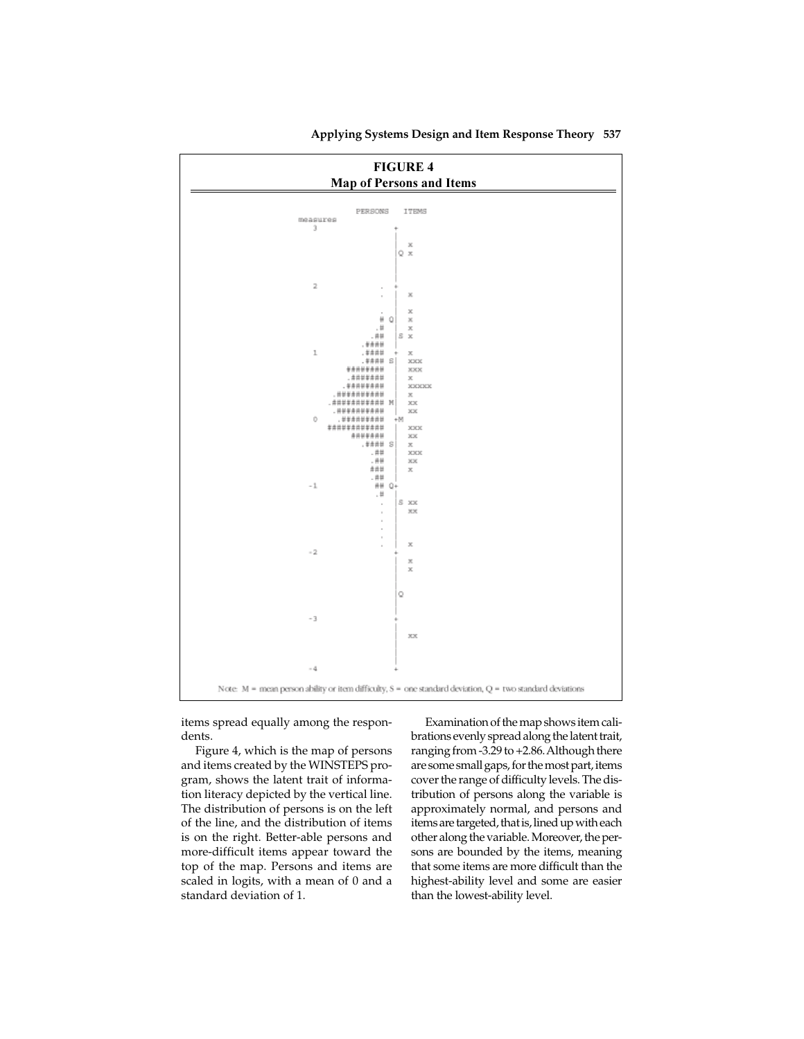

items spread equally among the respondents.

Figure 4, which is the map of persons and items created by the WINSTEPS program, shows the latent trait of information literacy depicted by the vertical line. The distribution of persons is on the left of the line, and the distribution of items is on the right. Better-able persons and more-difficult items appear toward the top of the map. Persons and items are scaled in logits, with a mean of 0 and a standard deviation of 1.

Examination of the map shows item calibrations evenly spread along the latent trait, ranging from -3.29 to +2.86. Although there are some small gaps, for the most part, items cover the range of difficulty levels. The distribution of persons along the variable is approximately normal, and persons and items are targeted, that is, lined up with each other along the variable. Moreover, the persons are bounded by the items, meaning that some items are more difficult than the highest-ability level and some are easier than the lowest-ability level.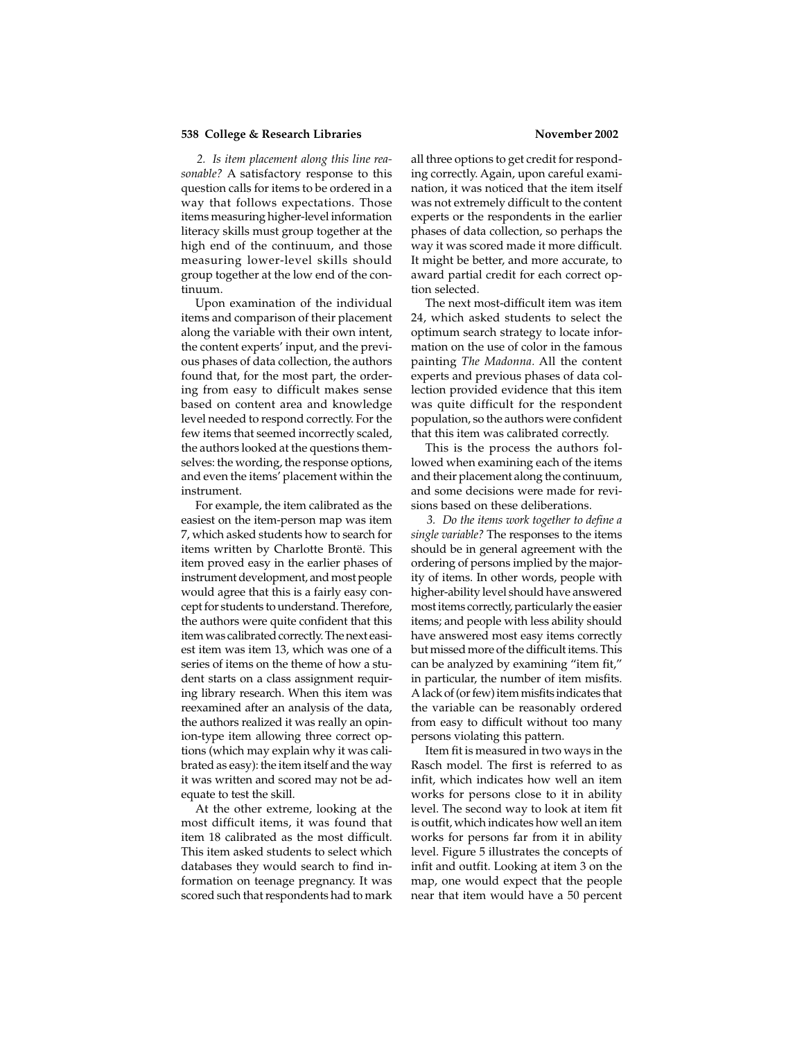#### **538 College & Research Libraries November 2002**

*2. Is item placement along this line reasonable?* A satisfactory response to this question calls for items to be ordered in a way that follows expectations. Those items measuring higher-level information literacy skills must group together at the high end of the continuum, and those measuring lower-level skills should group together at the low end of the continuum.

Upon examination of the individual items and comparison of their placement along the variable with their own intent, the content experts' input, and the previous phases of data collection, the authors found that, for the most part, the ordering from easy to difficult makes sense based on content area and knowledge level needed to respond correctly. For the few items that seemed incorrectly scaled, the authors looked at the questions themselves: the wording, the response options, and even the items' placement within the instrument.

For example, the item calibrated as the easiest on the item-person map was item 7, which asked students how to search for items written by Charlotte Brontë. This item proved easy in the earlier phases of instrument development, and most people would agree that this is a fairly easy concept for students to understand. Therefore, the authors were quite confident that this item was calibrated correctly. The next easiest item was item 13, which was one of a series of items on the theme of how a student starts on a class assignment requiring library research. When this item was reexamined after an analysis of the data, the authors realized it was really an opinion-type item allowing three correct options (which may explain why it was calibrated as easy): the item itself and the way it was written and scored may not be adequate to test the skill.

At the other extreme, looking at the most difficult items, it was found that item 18 calibrated as the most difficult. This item asked students to select which databases they would search to find information on teenage pregnancy. It was scored such that respondents had to mark all three options to get credit for responding correctly. Again, upon careful examination, it was noticed that the item itself was not extremely difficult to the content experts or the respondents in the earlier phases of data collection, so perhaps the way it was scored made it more difficult. It might be better, and more accurate, to award partial credit for each correct option selected.

The next most-difficult item was item 24, which asked students to select the optimum search strategy to locate information on the use of color in the famous painting *The Madonna.* All the content experts and previous phases of data collection provided evidence that this item was quite difficult for the respondent population, so the authors were confident that this item was calibrated correctly.

This is the process the authors followed when examining each of the items and their placement along the continuum, and some decisions were made for revisions based on these deliberations.

*3. Do the items work together to define a single variable?* The responses to the items should be in general agreement with the ordering of persons implied by the majority of items. In other words, people with higher-ability level should have answered most items correctly, particularly the easier items; and people with less ability should have answered most easy items correctly but missed more of the difficult items. This can be analyzed by examining "item fit," in particular, the number of item misfits. A lack of (or few) item misfits indicates that the variable can be reasonably ordered from easy to difficult without too many persons violating this pattern.

Item fit is measured in two ways in the Rasch model. The first is referred to as infit, which indicates how well an item works for persons close to it in ability level. The second way to look at item fit is outfit, which indicates how well an item works for persons far from it in ability level. Figure 5 illustrates the concepts of infit and outfit. Looking at item 3 on the map, one would expect that the people near that item would have a 50 percent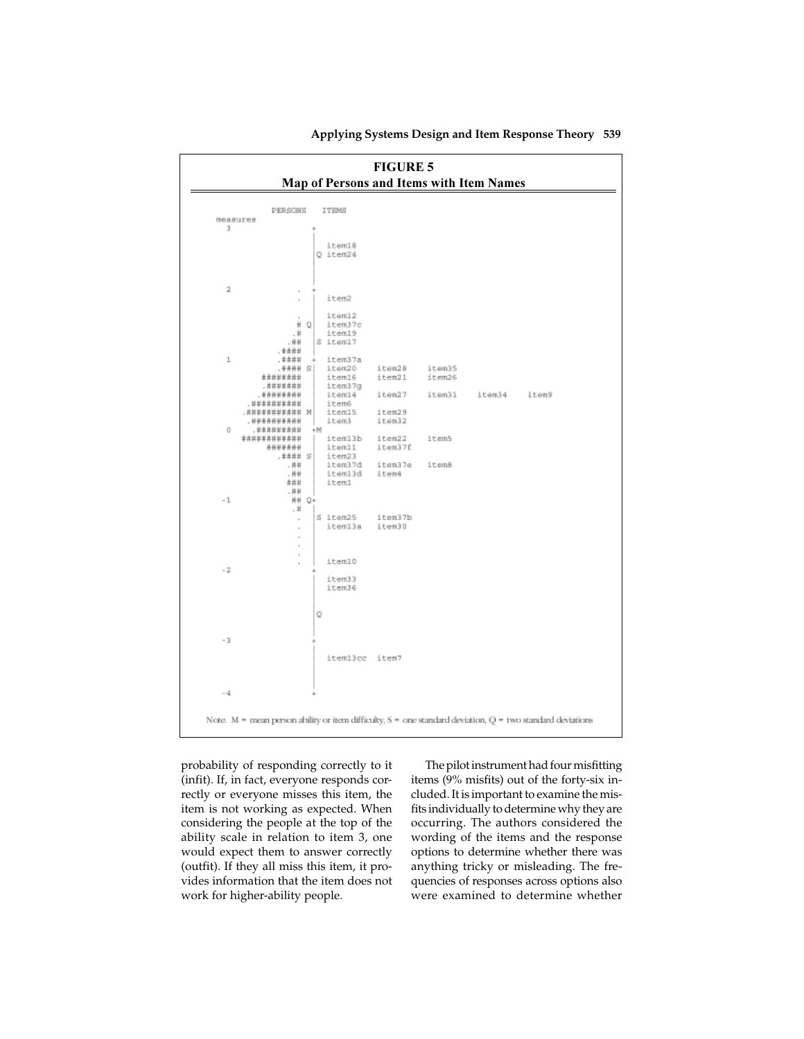

**Applying Systems Design and Item Response Theory 539**

probability of responding correctly to it (infit). If, in fact, everyone responds correctly or everyone misses this item, the item is not working as expected. When considering the people at the top of the ability scale in relation to item 3, one would expect them to answer correctly (outfit). If they all miss this item, it provides information that the item does not work for higher-ability people.

The pilot instrument had four misfitting items (9% misfits) out of the forty-six included. It is important to examine the misfits individually to determine why they are occurring. The authors considered the wording of the items and the response options to determine whether there was anything tricky or misleading. The frequencies of responses across options also were examined to determine whether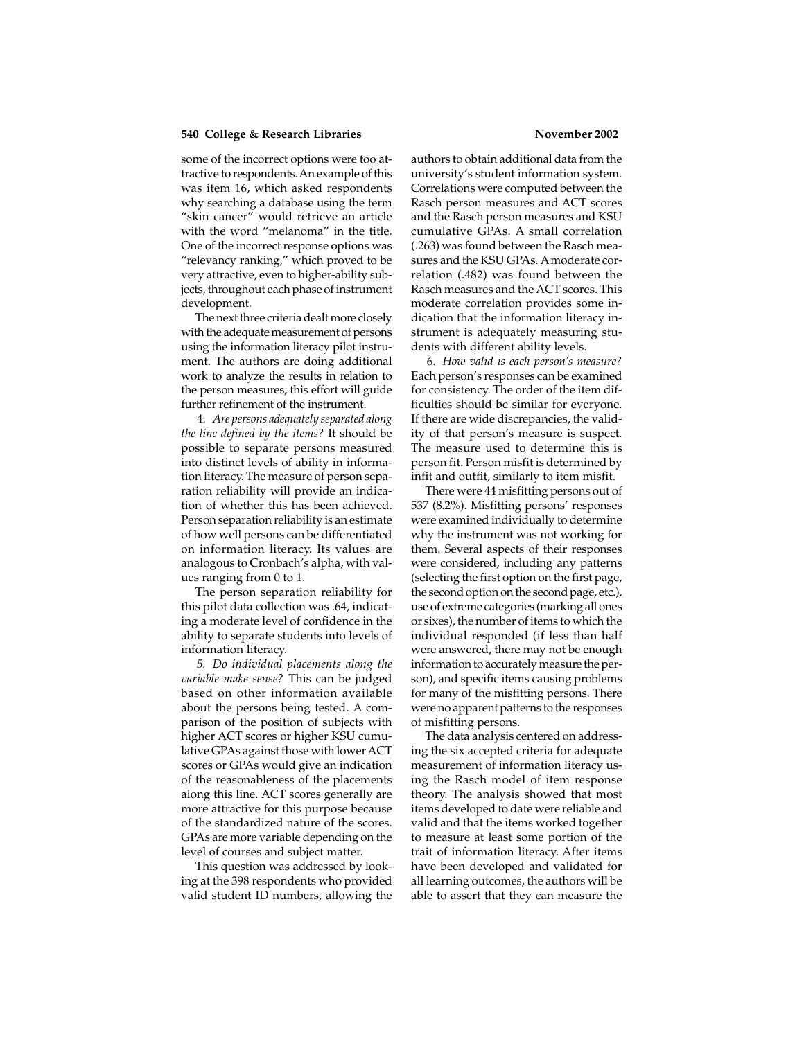#### **540 College & Research Libraries November 2002**

some of the incorrect options were too attractive to respondents. An example of this was item 16, which asked respondents why searching a database using the term "skin cancer" would retrieve an article with the word "melanoma" in the title. One of the incorrect response options was "relevancy ranking," which proved to be very attractive, even to higher-ability subjects, throughout each phase of instrument development.

The next three criteria dealt more closely with the adequate measurement of persons using the information literacy pilot instrument. The authors are doing additional work to analyze the results in relation to the person measures; this effort will guide further refinement of the instrument.

4. *Are persons adequately separated along the line defined by the items?* It should be possible to separate persons measured into distinct levels of ability in information literacy. The measure of person separation reliability will provide an indication of whether this has been achieved. Person separation reliability is an estimate of how well persons can be differentiated on information literacy. Its values are analogous to Cronbach's alpha, with values ranging from 0 to 1.

The person separation reliability for this pilot data collection was .64, indicating a moderate level of confidence in the ability to separate students into levels of information literacy.

*5. Do individual placements along the variable make sense?* This can be judged based on other information available about the persons being tested. A comparison of the position of subjects with higher ACT scores or higher KSU cumulative GPAs against those with lower ACT scores or GPAs would give an indication of the reasonableness of the placements along this line. ACT scores generally are more attractive for this purpose because of the standardized nature of the scores. GPAs are more variable depending on the level of courses and subject matter.

This question was addressed by looking at the 398 respondents who provided valid student ID numbers, allowing the authors to obtain additional data from the university's student information system. Correlations were computed between the Rasch person measures and ACT scores and the Rasch person measures and KSU cumulative GPAs. A small correlation (.263) was found between the Rasch measures and the KSU GPAs. A moderate correlation (.482) was found between the Rasch measures and the ACT scores. This moderate correlation provides some indication that the information literacy instrument is adequately measuring students with different ability levels.

6. *How valid is each person's measure?* Each person's responses can be examined for consistency. The order of the item difficulties should be similar for everyone. If there are wide discrepancies, the validity of that person's measure is suspect. The measure used to determine this is person fit. Person misfit is determined by infit and outfit, similarly to item misfit.

There were 44 misfitting persons out of 537 (8.2%). Misfitting persons' responses were examined individually to determine why the instrument was not working for them. Several aspects of their responses were considered, including any patterns (selecting the first option on the first page, the second option on the second page, etc.), use of extreme categories (marking all ones or sixes), the number of items to which the individual responded (if less than half were answered, there may not be enough information to accurately measure the person), and specific items causing problems for many of the misfitting persons. There were no apparent patterns to the responses of misfitting persons.

The data analysis centered on addressing the six accepted criteria for adequate measurement of information literacy using the Rasch model of item response theory. The analysis showed that most items developed to date were reliable and valid and that the items worked together to measure at least some portion of the trait of information literacy. After items have been developed and validated for all learning outcomes, the authors will be able to assert that they can measure the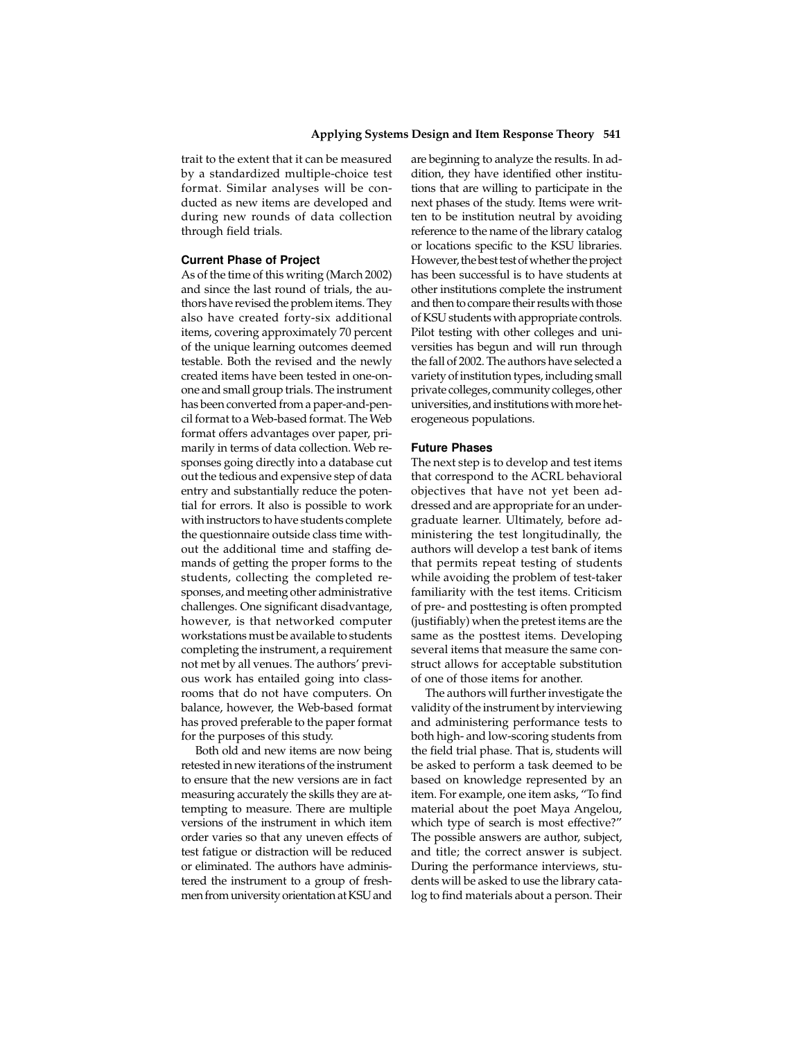trait to the extent that it can be measured by a standardized multiple-choice test format. Similar analyses will be conducted as new items are developed and during new rounds of data collection through field trials.

# **Current Phase of Project**

As of the time of this writing (March 2002) and since the last round of trials, the authors have revised the problem items. They also have created forty-six additional items, covering approximately 70 percent of the unique learning outcomes deemed testable. Both the revised and the newly created items have been tested in one-onone and small group trials. The instrument has been converted from a paper-and-pencil format to a Web-based format. The Web format offers advantages over paper, primarily in terms of data collection. Web responses going directly into a database cut out the tedious and expensive step of data entry and substantially reduce the potential for errors. It also is possible to work with instructors to have students complete the questionnaire outside class time without the additional time and staffing demands of getting the proper forms to the students, collecting the completed responses, and meeting other administrative challenges. One significant disadvantage, however, is that networked computer workstations must be available to students completing the instrument, a requirement not met by all venues. The authors' previous work has entailed going into classrooms that do not have computers. On balance, however, the Web-based format has proved preferable to the paper format for the purposes of this study.

Both old and new items are now being retested in new iterations of the instrument to ensure that the new versions are in fact measuring accurately the skills they are attempting to measure. There are multiple versions of the instrument in which item order varies so that any uneven effects of test fatigue or distraction will be reduced or eliminated. The authors have administered the instrument to a group of freshmen from university orientation at KSU and are beginning to analyze the results. In addition, they have identified other institutions that are willing to participate in the next phases of the study. Items were written to be institution neutral by avoiding reference to the name of the library catalog or locations specific to the KSU libraries. However, the best test of whether the project has been successful is to have students at other institutions complete the instrument and then to compare their results with those of KSU students with appropriate controls. Pilot testing with other colleges and universities has begun and will run through the fall of 2002. The authors have selected a variety of institution types, including small private colleges, community colleges, other universities, and institutions with more heterogeneous populations.

### **Future Phases**

The next step is to develop and test items that correspond to the ACRL behavioral objectives that have not yet been addressed and are appropriate for an undergraduate learner. Ultimately, before administering the test longitudinally, the authors will develop a test bank of items that permits repeat testing of students while avoiding the problem of test-taker familiarity with the test items. Criticism of pre- and posttesting is often prompted (justifiably) when the pretest items are the same as the posttest items. Developing several items that measure the same construct allows for acceptable substitution of one of those items for another.

The authors will further investigate the validity of the instrument by interviewing and administering performance tests to both high- and low-scoring students from the field trial phase. That is, students will be asked to perform a task deemed to be based on knowledge represented by an item. For example, one item asks, "To find material about the poet Maya Angelou, which type of search is most effective?" The possible answers are author, subject, and title; the correct answer is subject. During the performance interviews, students will be asked to use the library catalog to find materials about a person. Their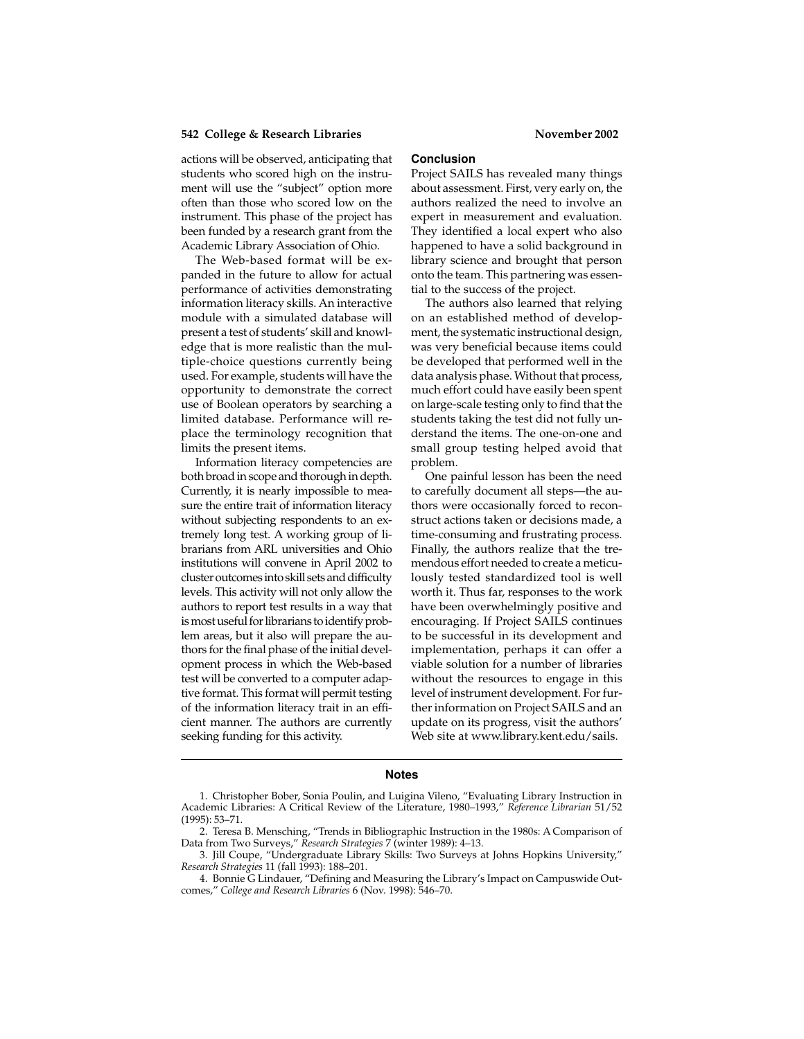actions will be observed, anticipating that students who scored high on the instrument will use the "subject" option more often than those who scored low on the instrument. This phase of the project has been funded by a research grant from the Academic Library Association of Ohio.

The Web-based format will be expanded in the future to allow for actual performance of activities demonstrating information literacy skills. An interactive module with a simulated database will present a test of students' skill and knowledge that is more realistic than the multiple-choice questions currently being used. For example, students will have the opportunity to demonstrate the correct use of Boolean operators by searching a limited database. Performance will replace the terminology recognition that limits the present items.

Information literacy competencies are both broad in scope and thorough in depth. Currently, it is nearly impossible to measure the entire trait of information literacy without subjecting respondents to an extremely long test. A working group of librarians from ARL universities and Ohio institutions will convene in April 2002 to cluster outcomes into skill sets and difficulty levels. This activity will not only allow the authors to report test results in a way that is most useful for librarians to identify problem areas, but it also will prepare the authors for the final phase of the initial development process in which the Web-based test will be converted to a computer adaptive format. This format will permit testing of the information literacy trait in an efficient manner. The authors are currently seeking funding for this activity.

#### **Conclusion**

Project SAILS has revealed many things about assessment. First, very early on, the authors realized the need to involve an expert in measurement and evaluation. They identified a local expert who also happened to have a solid background in library science and brought that person onto the team. This partnering was essential to the success of the project.

The authors also learned that relying on an established method of development, the systematic instructional design, was very beneficial because items could be developed that performed well in the data analysis phase. Without that process, much effort could have easily been spent on large-scale testing only to find that the students taking the test did not fully understand the items. The one-on-one and small group testing helped avoid that problem.

One painful lesson has been the need to carefully document all steps—the authors were occasionally forced to reconstruct actions taken or decisions made, a time-consuming and frustrating process. Finally, the authors realize that the tremendous effort needed to create a meticulously tested standardized tool is well worth it. Thus far, responses to the work have been overwhelmingly positive and encouraging. If Project SAILS continues to be successful in its development and implementation, perhaps it can offer a viable solution for a number of libraries without the resources to engage in this level of instrument development. For further information on Project SAILS and an update on its progress, visit the authors' Web site at www.library.kent.edu/sails.

#### **Notes**

<sup>1.</sup> Christopher Bober, Sonia Poulin, and Luigina Vileno, "Evaluating Library Instruction in Academic Libraries: A Critical Review of the Literature, 1980–1993," *Reference Librarian* 51/52 (1995): 53–71.

<sup>2.</sup> Teresa B. Mensching, "Trends in Bibliographic Instruction in the 1980s: A Comparison of Data from Two Surveys," *Research Strategies* 7 (winter 1989): 4–13.

<sup>3.</sup> Jill Coupe, "Undergraduate Library Skills: Two Surveys at Johns Hopkins University," *Research Strategies* 11 (fall 1993): 188–201.

<sup>4.</sup> Bonnie G Lindauer, "Defining and Measuring the Library's Impact on Campuswide Outcomes," *College and Research Libraries* 6 (Nov. 1998): 546–70.